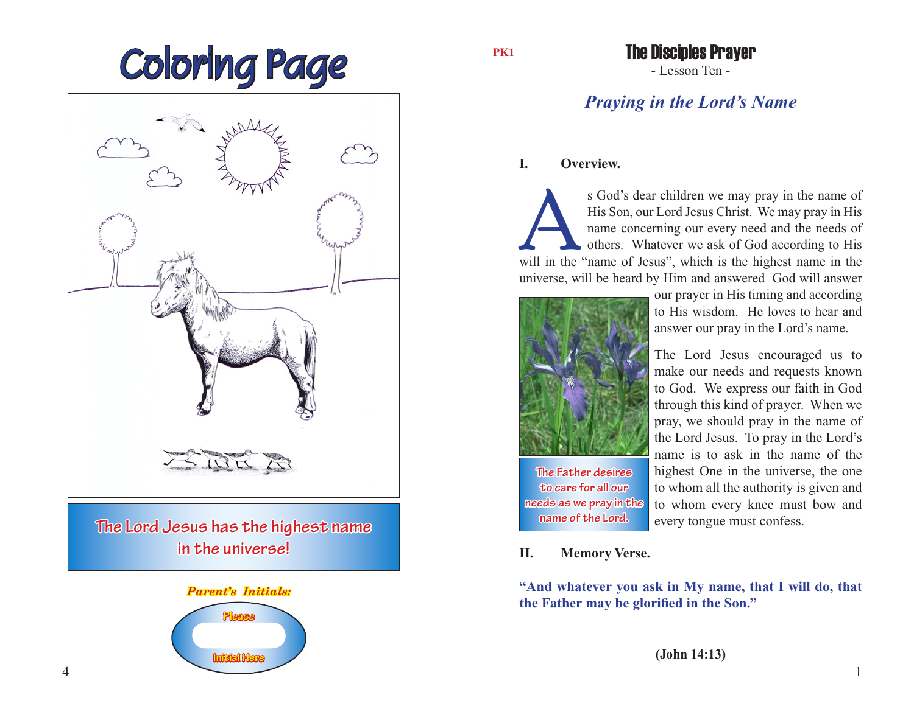



# *Parent's Initials:*



**PK1**

- Lesson Ten - The Disciples Prayer

# *Praying in the Lord's Name*

## **I. Overview.**

s God's dear children we may pray in the name of His Son, our Lord Jesus Christ. We may pray in His name concerning our every need and the needs of others. Whatever we ask of God according to His will in the "name of Jesus His Son, our Lord Jesus Christ. We may pray in His name concerning our every need and the needs of others. Whatever we ask of God according to His universe, will be heard by Him and answered God will answer



our prayer in His timing and according to His wisdom. He loves to hear and answer our pray in the Lord's name.

The Lord Jesus encouraged us to make our needs and requests known to God. We express our faith in God through this kind of prayer. When we pray, we should pray in the name of the Lord Jesus. To pray in the Lord's name is to ask in the name of the highest One in the universe, the one to whom all the authority is given and to whom every knee must bow and every tongue must confess.

### **II. Memory Verse.**

**The Father desires to care for all our needs as we pray in the name of the Lord.**

**"And whatever you ask in My name, that I will do, that the Father may be glorified in the Son."**

**(John 14:13)**